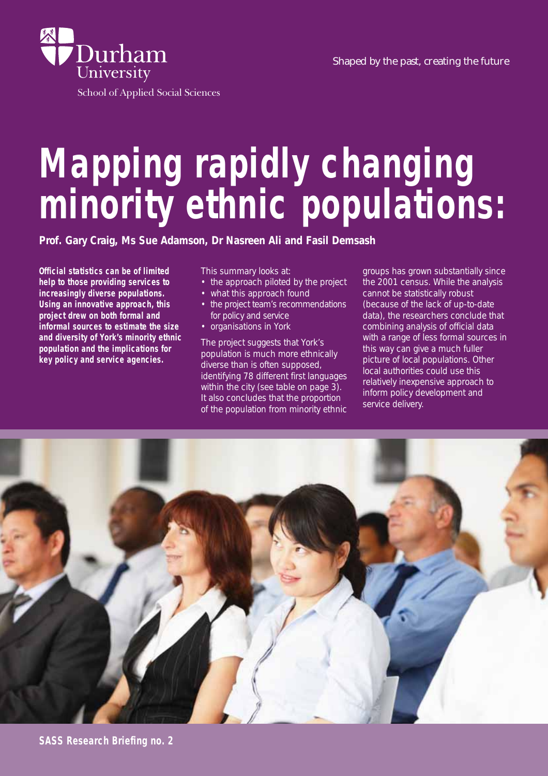



School of Applied Social Sciences

# **Mapping rapidly changing minority ethnic populations:**

**Official statistics can be of limited help to those providing services to increasingly diverse populations. Using an innovative approach, this project drew on both formal and informal sources to estimate the size and diversity of York's minority ethnic population and the implications for key policy and service agencies.** 

This summary looks at:

- the approach piloted by the project
- what this approach found
- the project team's recommendations for policy and service
- organisations in York

The project suggests that York's population is much more ethnically diverse than is often supposed, identifying 78 different first languages within the city (see table on page 3). It also concludes that the proportion of the population from minority ethnic

groups has grown substantially since the 2001 census. While the analysis cannot be statistically robust (because of the lack of up-to-date data), the researchers conclude that combining analysis of official data with a range of less formal sources in this way can give a much fuller picture of local populations. Other local authorities could use this relatively inexpensive approach to inform policy development and service delivery.

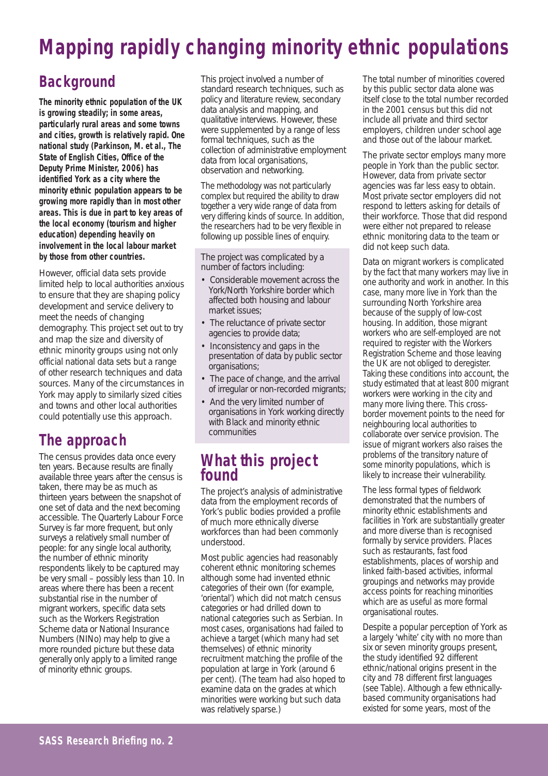# **Mapping rapidly changing minority ethnic populations**

# **Background**

**The minority ethnic population of the UK is growing steadily; in some areas, particularly rural areas and some towns and cities, growth is relatively rapid. One national study (Parkinson, M. et al., The State of English Cities, Office of the Deputy Prime Minister, 2006) has identified York as a city where the minority ethnic population appears to be growing more rapidly than in most other areas. This is due in part to key areas of the local economy (tourism and higher education) depending heavily on involvement in the local labour market by those from other countries.** 

However, official data sets provide limited help to local authorities anxious to ensure that they are shaping policy development and service delivery to meet the needs of changing demography. This project set out to try and map the size and diversity of ethnic minority groups using not only official national data sets but a range of other research techniques and data sources. Many of the circumstances in York may apply to similarly sized cities and towns and other local authorities could potentially use this approach.

## **The approach**

The census provides data once every ten years. Because results are finally available three years after the census is taken, there may be as much as thirteen years between the snapshot of one set of data and the next becoming accessible. The Quarterly Labour Force Survey is far more frequent, but only surveys a relatively small number of people: for any single local authority, the number of ethnic minority respondents likely to be captured may be very small – possibly less than 10. In areas where there has been a recent substantial rise in the number of migrant workers, specific data sets such as the Workers Registration Scheme data or National Insurance Numbers (NINo) may help to give a more rounded picture but these data generally only apply to a limited range of minority ethnic groups.

This project involved a number of standard research techniques, such as policy and literature review, secondary data analysis and mapping, and qualitative interviews. However, these were supplemented by a range of less formal techniques, such as the collection of administrative employment data from local organisations, observation and networking.

The methodology was not particularly complex but required the ability to draw together a very wide range of data from very differing kinds of source. In addition, the researchers had to be very flexible in following up possible lines of enquiry.

The project was complicated by a number of factors including:

- Considerable movement across the York/North Yorkshire border which affected both housing and labour market issues;
- The reluctance of private sector agencies to provide data;
- Inconsistency and gaps in the presentation of data by public sector organisations;
- The pace of change, and the arrival of irregular or non-recorded migrants;
- And the very limited number of organisations in York working directly with Black and minority ethnic communities

#### **What this project found**

The project's analysis of administrative data from the employment records of York's public bodies provided a profile of much more ethnically diverse workforces than had been commonly understood.

Most public agencies had reasonably coherent ethnic monitoring schemes although some had invented ethnic categories of their own (for example, 'oriental') which did not match census categories or had drilled down to national categories such as Serbian. In most cases, organisations had failed to achieve a target (which many had set themselves) of ethnic minority recruitment matching the profile of the population at large in York (around 6 per cent). (The team had also hoped to examine data on the grades at which minorities were working but such data was relatively sparse.)

The total number of minorities covered by this public sector data alone was itself close to the total number recorded in the 2001 census but this did not include all private and third sector employers, children under school age and those out of the labour market.

The private sector employs many more people in York than the public sector. However, data from private sector agencies was far less easy to obtain. Most private sector employers did not respond to letters asking for details of their workforce. Those that did respond were either not prepared to release ethnic monitoring data to the team or did not keep such data.

Data on migrant workers is complicated by the fact that many workers may live in one authority and work in another. In this case, many more live in York than the surrounding North Yorkshire area because of the supply of low-cost housing. In addition, those migrant workers who are self-employed are not required to register with the Workers Registration Scheme and those leaving the UK are not obliged to deregister. Taking these conditions into account, the study estimated that at least 800 migrant workers were working in the city and many more living there. This crossborder movement points to the need for neighbouring local authorities to collaborate over service provision. The issue of migrant workers also raises the problems of the transitory nature of some minority populations, which is likely to increase their vulnerability.

The less formal types of fieldwork demonstrated that the numbers of minority ethnic establishments and facilities in York are substantially greater and more diverse than is recognised formally by service providers. Places such as restaurants, fast food establishments, places of worship and linked faith-based activities, informal groupings and networks may provide access points for reaching minorities which are as useful as more formal organisational routes.

Despite a popular perception of York as a largely 'white' city with no more than six or seven minority groups present, the study identified 92 different ethnic/national origins present in the city and 78 different first languages (see Table). Although a few ethnicallybased community organisations had existed for some years, most of the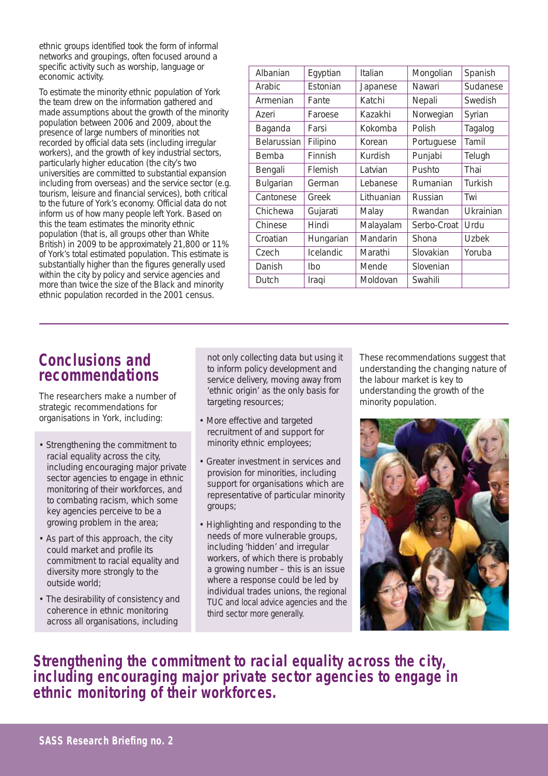ethnic groups identified took the form of informal networks and groupings, often focused around a specific activity such as worship, language or economic activity.

To estimate the minority ethnic population of York the team drew on the information gathered and made assumptions about the growth of the minority population between 2006 and 2009, about the presence of large numbers of minorities not recorded by official data sets (including irregular workers), and the growth of key industrial sectors, particularly higher education (the city's two universities are committed to substantial expansion including from overseas) and the service sector (e.g. tourism, leisure and financial services), both critical to the future of York's economy. Official data do not inform us of how many people left York. Based on this the team estimates the minority ethnic population (that is, all groups other than White British) in 2009 to be approximately 21,800 or 11% of York's total estimated population. This estimate is substantially higher than the figures generally used within the city by policy and service agencies and more than twice the size of the Black and minority ethnic population recorded in the 2001 census.

| Albanian           | Egyptian  | Italian    | Mongolian   | Spanish      |
|--------------------|-----------|------------|-------------|--------------|
| Arabic             | Estonian  | Japanese   | Nawari      | Sudanese     |
| Armenian           | Fante     | Katchi     | Nepali      | Swedish      |
| Azeri              | Faroese   | Kazakhi    | Norwegian   | Syrian       |
| Baganda            | Farsi     | Kokomba    | Polish      | Tagalog      |
| <b>Belarussian</b> | Filipino  | Korean     | Portuguese  | Tamil        |
| Bemba              | Finnish   | Kurdish    | Punjabi     | Telugh       |
| Bengali            | Flemish   | Latvian    | Pushto      | Thai         |
| Bulgarian          | German    | Lebanese   | Rumanian    | Turkish      |
| Cantonese          | Greek     | Lithuanian | Russian     | Twi          |
| Chichewa           | Gujarati  | Malay      | Rwandan     | Ukrainian    |
| Chinese            | Hindi     | Malayalam  | Serbo-Croat | Urdu         |
| Croatian           | Hungarian | Mandarin   | Shona       | <b>Uzbek</b> |
| Czech              | Icelandic | Marathi    | Slovakian   | Yoruba       |
| Danish             | Ibo       | Mende      | Slovenian   |              |
| Dutch              | Iraqi     | Moldovan   | Swahili     |              |
|                    |           |            |             |              |

#### **Conclusions and recommendations**

The researchers make a number of strategic recommendations for organisations in York, including:

- Strengthening the commitment to racial equality across the city, including encouraging major private sector agencies to engage in ethnic monitoring of their workforces, and to combating racism, which some key agencies perceive to be a growing problem in the area;
- As part of this approach, the city could market and profile its commitment to racial equality and diversity more strongly to the outside world;
- The desirability of consistency and coherence in ethnic monitoring across all organisations, including

not only collecting data but using it to inform policy development and service delivery, moving away from 'ethnic origin' as the only basis for targeting resources;

- More effective and targeted recruitment of and support for minority ethnic employees;
- Greater investment in services and provision for minorities, including support for organisations which are representative of particular minority groups;
- Highlighting and responding to the needs of more vulnerable groups, including 'hidden' and irregular workers, of which there is probably a growing number – this is an issue where a response could be led by individual trades unions, the regional TUC and local advice agencies and the third sector more generally.

These recommendations suggest that understanding the changing nature of the labour market is key to understanding the growth of the minority population.



**Strengthening the commitment to racial equality across the city, including encouraging major private sector agencies to engage in ethnic monitoring of their workforces.**